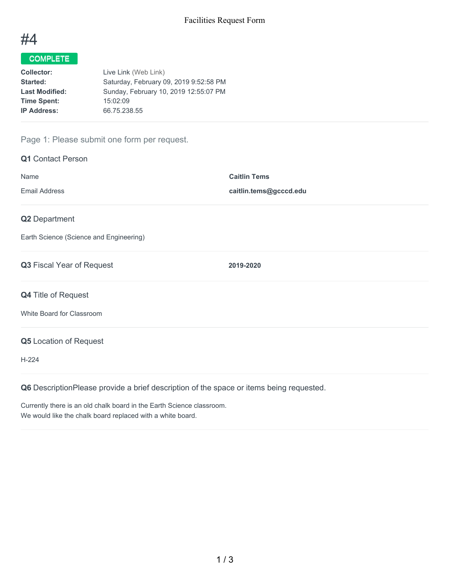

## COMPLETE

| Collector:            | Live Link (Web Link)                   |
|-----------------------|----------------------------------------|
| Started:              | Saturday, February 09, 2019 9:52:58 PM |
| <b>Last Modified:</b> | Sunday, February 10, 2019 12:55:07 PM  |
| <b>Time Spent:</b>    | 15:02:09                               |
| <b>IP Address:</b>    | 66.75.238.55                           |
|                       |                                        |

### Page 1: Please submit one form per request.

| <b>Q1</b> Contact Person                |                        |  |
|-----------------------------------------|------------------------|--|
| Name                                    | <b>Caitlin Tems</b>    |  |
| <b>Email Address</b>                    | caitlin.tems@gcccd.edu |  |
| Q2 Department                           |                        |  |
| Earth Science (Science and Engineering) |                        |  |
| Q3 Fiscal Year of Request               | 2019-2020              |  |
| Q4 Title of Request                     |                        |  |
| White Board for Classroom               |                        |  |
| <b>Q5</b> Location of Request           |                        |  |
| $H-224$                                 |                        |  |
|                                         |                        |  |

**Q6** DescriptionPlease provide a brief description of the space or items being requested.

Currently there is an old chalk board in the Earth Science classroom. We would like the chalk board replaced with a white board.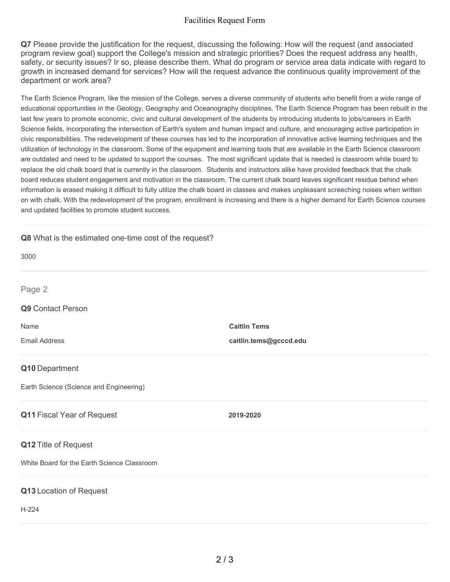#### Facilities Request Form

**Q7** Please provide the justification for the request, discussing the following: How will the request (and associated program review goal) support the College's mission and strategic priorities? Does the request address any health, safety, or security issues? Ir so, please describe them. What do program or service area data indicate with regard to growth in increased demand for services? How will the request advance the continuous quality improvement of the department or work area?

The Earth Science Program, like the mission of the College, serves a diverse community of students who benefit from a wide range of educational opportunities in the Geology, Geography and Oceanography disciplines. The Earth Science Program has been rebuilt in the last few years to promote economic, civic and cultural development of the students by introducing students to jobs/careers in Earth Science fields, incorporating the intersection of Earth's system and human impact and culture, and encouraging active participation in civic responsibilities. The redevelopment of these courses has led to the incorporation of innovative active learning techniques and the utilization of technology in the classroom. Some of the equipment and learning tools that are available in the Earth Science classroom are outdated and need to be updated to support the courses. The most significant update that is needed is classroom white board to replace the old chalk board that is currently in the classroom. Students and instructors alike have provided feedback that the chalk board reduces student engagement and motivation in the classroom. The current chalk board leaves significant residue behind when information is erased making it difficult to fully utilize the chalk board in classes and makes unpleasant screeching noises when written on with chalk. With the redevelopment of the program, enrollment is increasing and there is a higher demand for Earth Science courses and updated facilities to promote student success.

# **Q8** What is the estimated one-time cost of the request? 3000 **Q9** Contact Person Name **Caitlin Tems** Email Address **caitlin.tems@gcccd.edu Q10** Department Earth Science (Science and Engineering) **Q11** Fiscal Year of Request **2019-2020 Q12** Title of Request White Board for the Earth Science Classroom **Q13** Location of Request H-224 Page 2